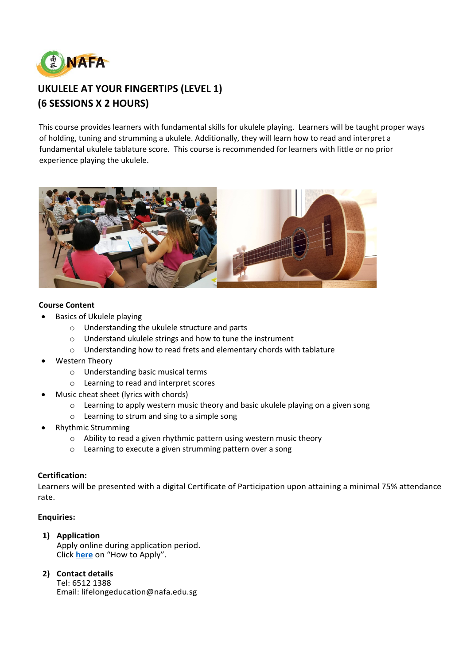

# **UKULELE AT YOUR FINGERTIPS (LEVEL 1) (6 SESSIONS X 2 HOURS)**

This course provides learners with fundamental skills for ukulele playing. Learners will be taught proper ways of holding, tuning and strumming a ukulele. Additionally, they will learn how to read and interpret a fundamental ukulele tablature score. This course is recommended for learners with little or no prior experience playing the ukulele.



## **Course Content**

- Basics of Ukulele playing
	- o Understanding the ukulele structure and parts
	- o Understand ukulele strings and how to tune the instrument
	- o Understanding how to read frets and elementary chords with tablature
- Western Theory
	- o Understanding basic musical terms
	- o Learning to read and interpret scores
- Music cheat sheet (lyrics with chords)
	- o Learning to apply western music theory and basic ukulele playing on a given song
	- o Learning to strum and sing to a simple song
- Rhythmic Strumming
	- o Ability to read a given rhythmic pattern using western music theory
	- o Learning to execute a given strumming pattern over a song

# **Certification:**

Learners will be presented with a digital Certificate of Participation upon attaining a minimal 75% attendance rate.

# **Enquiries:**

**1) Application**

Apply online during application period. Click **[here](https://www.nafa.edu.sg/courses/part-time/short-courses#collapseFive)** on "How to Apply".

**2) Contact details**

Tel: 6512 1388 Email: lifelongeducation@nafa.edu.sg